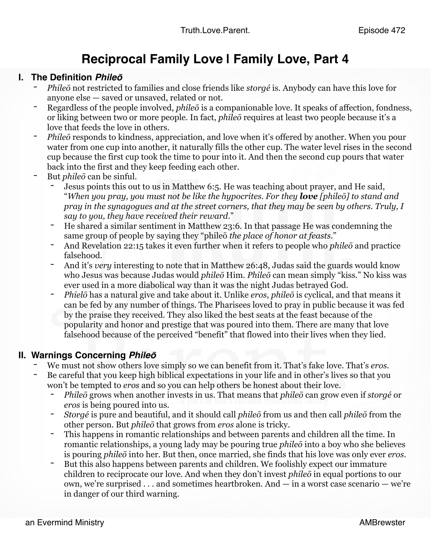## **Reciprocal Family Love | Family Love, Part 4**

- **I. The Definition** *Phileō*<br>- *Phileō* not restricted to families and close friends like *storgé* is. Anybody can have this love for anyone else — saved or unsaved, related or not.
	- Regardless of the people involved, *phileo* is a companionable love. It speaks of affection, fondness, or liking between two or more people. In fact, *phileō* requires at least two people because it's a love that feeds the love in others.
	- *Phileō* responds to kindness, appreciation, and love when it's offered by another. When you pour water from one cup into another, it naturally fills the other cup. The water level rises in the second cup because the first cup took the time to pour into it. And then the second cup pours that water back into the first and they keep feeding each other.
	- But *phileō* can be sinful.
		- Jesus points this out to us in Matthew 6:5. He was teaching about prayer, and He said, "*When you pray, you must not be like the hypocrites. For they love [phileō] to stand and pray in the synagogues and at the street corners, that they may be seen by others. Truly, I say to you, they have received their reward*."
		- He shared a similar sentiment in Matthew 23:6. In that passage He was condemning the same group of people by saying they "phileō *the place of honor at feasts*."
		- And Revelation 22:15 takes it even further when it refers to people who *phileō* and practice falsehood.
		- And it's *very* interesting to note that in Matthew 26:48, Judas said the guards would know who Jesus was because Judas would *phileō* Him. *Phileō* can mean simply "kiss." No kiss was ever used in a more diabolical way than it was the night Judas betrayed God.
		- *Phielō* has a natural give and take about it. Unlike *eros*, *phileō* is cyclical, and that means it can be fed by any number of things. The Pharisees loved to pray in public because it was fed by the praise they received. They also liked the best seats at the feast because of the popularity and honor and prestige that was poured into them. There are many that love falsehood because of the perceived "benefit" that flowed into their lives when they lied.

- **II. Warnings Concerning** *Phile***<sup>ō</sup>** We must not show others love simply so we can benefit from it. That's fake love. That's *eros.*
	- Be careful that you keep high biblical expectations in your life and in other's lives so that you won't be tempted to *eros* and so you can help others be honest about their love.
		- *Phileō* grows when another invests in us. That means that *phileō* can grow even if *storgé* or *eros* is being poured into us.
		- *Storgé* is pure and beautiful, and it should call *phileō* from us and then call *phileō* from the other person. But *phileō* that grows from *eros* alone is tricky.
		- This happens in romantic relationships and between parents and children all the time. In romantic relationships, a young lady may be pouring true *phileō* into a boy who she believes is pouring *phileō* into her. But then, once married, she finds that his love was only ever *eros*.
		- But this also happens between parents and children. We foolishly expect our immature children to reciprocate our love. And when they don't invest *phileō* in equal portions to our own, we're surprised . . . and sometimes heartbroken. And — in a worst case scenario — we're in danger of our third warning.